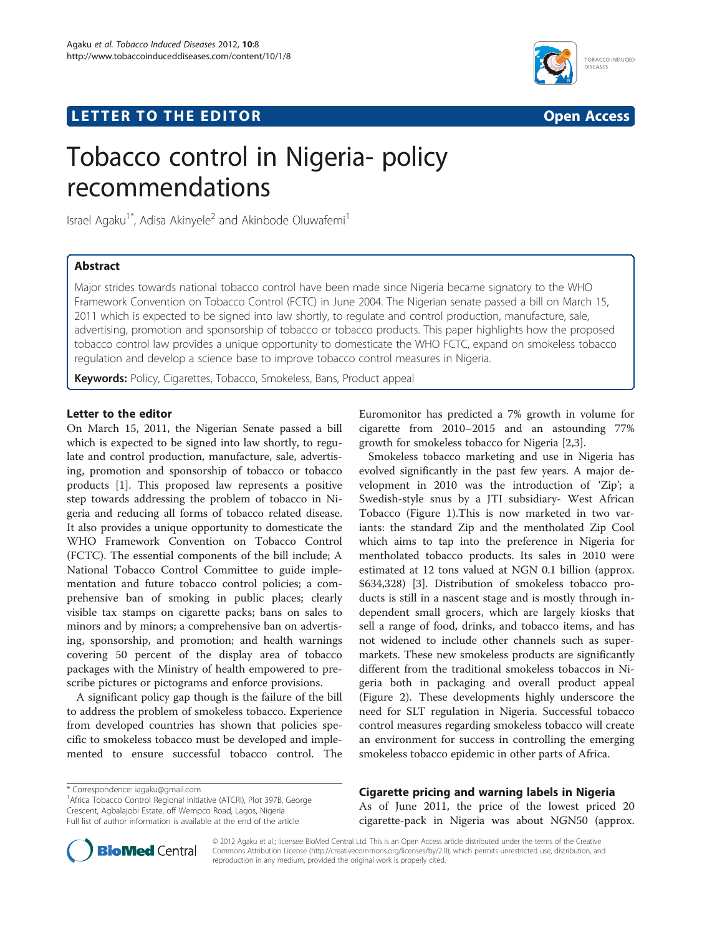## **LETTER TO THE EDITOR CONSIDERING ACCESS**



# Tobacco control in Nigeria- policy recommendations

Israel Agaku<sup>1\*</sup>, Adisa Akinyele<sup>2</sup> and Akinbode Oluwafemi<sup>1</sup>

## Abstract

Major strides towards national tobacco control have been made since Nigeria became signatory to the WHO Framework Convention on Tobacco Control (FCTC) in June 2004. The Nigerian senate passed a bill on March 15, 2011 which is expected to be signed into law shortly, to regulate and control production, manufacture, sale, advertising, promotion and sponsorship of tobacco or tobacco products. This paper highlights how the proposed tobacco control law provides a unique opportunity to domesticate the WHO FCTC, expand on smokeless tobacco regulation and develop a science base to improve tobacco control measures in Nigeria.

Keywords: Policy, Cigarettes, Tobacco, Smokeless, Bans, Product appeal

## Letter to the editor

On March 15, 2011, the Nigerian Senate passed a bill which is expected to be signed into law shortly, to regulate and control production, manufacture, sale, advertising, promotion and sponsorship of tobacco or tobacco products [\[1](#page-3-0)]. This proposed law represents a positive step towards addressing the problem of tobacco in Nigeria and reducing all forms of tobacco related disease. It also provides a unique opportunity to domesticate the WHO Framework Convention on Tobacco Control (FCTC). The essential components of the bill include; A National Tobacco Control Committee to guide implementation and future tobacco control policies; a comprehensive ban of smoking in public places; clearly visible tax stamps on cigarette packs; bans on sales to minors and by minors; a comprehensive ban on advertising, sponsorship, and promotion; and health warnings covering 50 percent of the display area of tobacco packages with the Ministry of health empowered to prescribe pictures or pictograms and enforce provisions.

A significant policy gap though is the failure of the bill to address the problem of smokeless tobacco. Experience from developed countries has shown that policies specific to smokeless tobacco must be developed and implemented to ensure successful tobacco control. The

\* Correspondence: [iagaku@gmail.com](mailto:iagaku@gmail.com) <sup>1</sup>

Euromonitor has predicted a 7% growth in volume for cigarette from 2010–2015 and an astounding 77% growth for smokeless tobacco for Nigeria [\[2,3\]](#page-3-0).

Smokeless tobacco marketing and use in Nigeria has evolved significantly in the past few years. A major development in 2010 was the introduction of 'Zip'; a Swedish-style snus by a JTI subsidiary- West African Tobacco (Figure [1\)](#page-1-0).This is now marketed in two variants: the standard Zip and the mentholated Zip Cool which aims to tap into the preference in Nigeria for mentholated tobacco products. Its sales in 2010 were estimated at 12 tons valued at NGN 0.1 billion (approx. \$634,328) [\[3\]](#page-3-0). Distribution of smokeless tobacco products is still in a nascent stage and is mostly through independent small grocers, which are largely kiosks that sell a range of food, drinks, and tobacco items, and has not widened to include other channels such as supermarkets. These new smokeless products are significantly different from the traditional smokeless tobaccos in Nigeria both in packaging and overall product appeal (Figure [2](#page-2-0)). These developments highly underscore the need for SLT regulation in Nigeria. Successful tobacco control measures regarding smokeless tobacco will create an environment for success in controlling the emerging smokeless tobacco epidemic in other parts of Africa.

Cigarette pricing and warning labels in Nigeria As of June 2011, the price of the lowest priced 20 cigarette-pack in Nigeria was about NGN50 (approx.



© 2012 Agaku et al.; licensee BioMed Central Ltd. This is an Open Access article distributed under the terms of the Creative Commons Attribution License [\(http://creativecommons.org/licenses/by/2.0\)](http://creativecommons.org/licenses/by/2.0), which permits unrestricted use, distribution, and reproduction in any medium, provided the original work is properly cited.

<sup>&</sup>lt;sup>1</sup> Africa Tobacco Control Regional Initiative (ATCRI), Plot 397B, George Crescent, Agbalajobi Estate, off Wempco Road, Lagos, Nigeria Full list of author information is available at the end of the article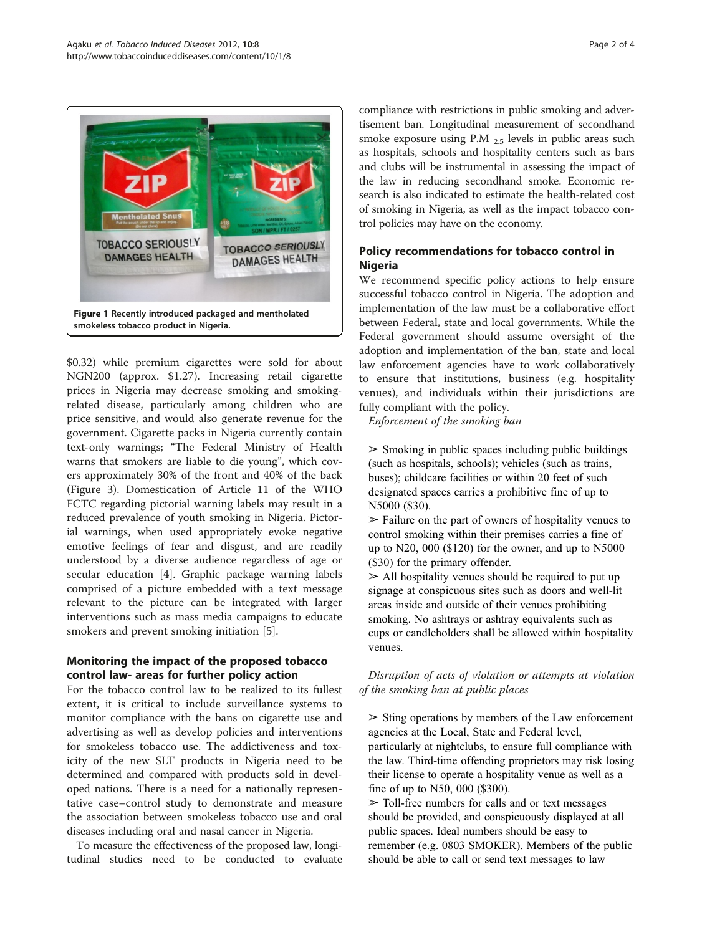<span id="page-1-0"></span>

\$0.32) while premium cigarettes were sold for about NGN200 (approx. \$1.27). Increasing retail cigarette prices in Nigeria may decrease smoking and smokingrelated disease, particularly among children who are price sensitive, and would also generate revenue for the government. Cigarette packs in Nigeria currently contain text-only warnings; "The Federal Ministry of Health warns that smokers are liable to die young", which covers approximately 30% of the front and 40% of the back (Figure [3](#page-3-0)). Domestication of Article 11 of the WHO FCTC regarding pictorial warning labels may result in a reduced prevalence of youth smoking in Nigeria. Pictorial warnings, when used appropriately evoke negative emotive feelings of fear and disgust, and are readily understood by a diverse audience regardless of age or secular education [[4\]](#page-3-0). Graphic package warning labels comprised of a picture embedded with a text message relevant to the picture can be integrated with larger interventions such as mass media campaigns to educate smokers and prevent smoking initiation [\[5\]](#page-3-0).

## Monitoring the impact of the proposed tobacco control law- areas for further policy action

For the tobacco control law to be realized to its fullest extent, it is critical to include surveillance systems to monitor compliance with the bans on cigarette use and advertising as well as develop policies and interventions for smokeless tobacco use. The addictiveness and toxicity of the new SLT products in Nigeria need to be determined and compared with products sold in developed nations. There is a need for a nationally representative case–control study to demonstrate and measure the association between smokeless tobacco use and oral diseases including oral and nasal cancer in Nigeria.

To measure the effectiveness of the proposed law, longitudinal studies need to be conducted to evaluate

compliance with restrictions in public smoking and advertisement ban. Longitudinal measurement of secondhand smoke exposure using P.M 2.5 levels in public areas such as hospitals, schools and hospitality centers such as bars and clubs will be instrumental in assessing the impact of the law in reducing secondhand smoke. Economic research is also indicated to estimate the health-related cost of smoking in Nigeria, as well as the impact tobacco control policies may have on the economy.

## Policy recommendations for tobacco control in Nigeria

We recommend specific policy actions to help ensure successful tobacco control in Nigeria. The adoption and implementation of the law must be a collaborative effort between Federal, state and local governments. While the Federal government should assume oversight of the adoption and implementation of the ban, state and local law enforcement agencies have to work collaboratively to ensure that institutions, business (e.g. hospitality venues), and individuals within their jurisdictions are fully compliant with the policy.

Enforcement of the smoking ban

 $\geq$  Smoking in public spaces including public buildings (such as hospitals, schools); vehicles (such as trains, buses); childcare facilities or within 20 feet of such designated spaces carries a prohibitive fine of up to N5000 (\$30).

 $\geq$  Failure on the part of owners of hospitality venues to control smoking within their premises carries a fine of up to N20, 000 (\$120) for the owner, and up to N5000 (\$30) for the primary offender.

 $\ge$  All hospitality venues should be required to put up signage at conspicuous sites such as doors and well-lit areas inside and outside of their venues prohibiting smoking. No ashtrays or ashtray equivalents such as cups or candleholders shall be allowed within hospitality venues.

Disruption of acts of violation or attempts at violation of the smoking ban at public places

 $\geq$  Sting operations by members of the Law enforcement agencies at the Local, State and Federal level, particularly at nightclubs, to ensure full compliance with the law. Third-time offending proprietors may risk losing their license to operate a hospitality venue as well as a fine of up to N50, 000 (\$300).

 $\geq$  Toll-free numbers for calls and or text messages should be provided, and conspicuously displayed at all public spaces. Ideal numbers should be easy to remember (e.g. 0803 SMOKER). Members of the public should be able to call or send text messages to law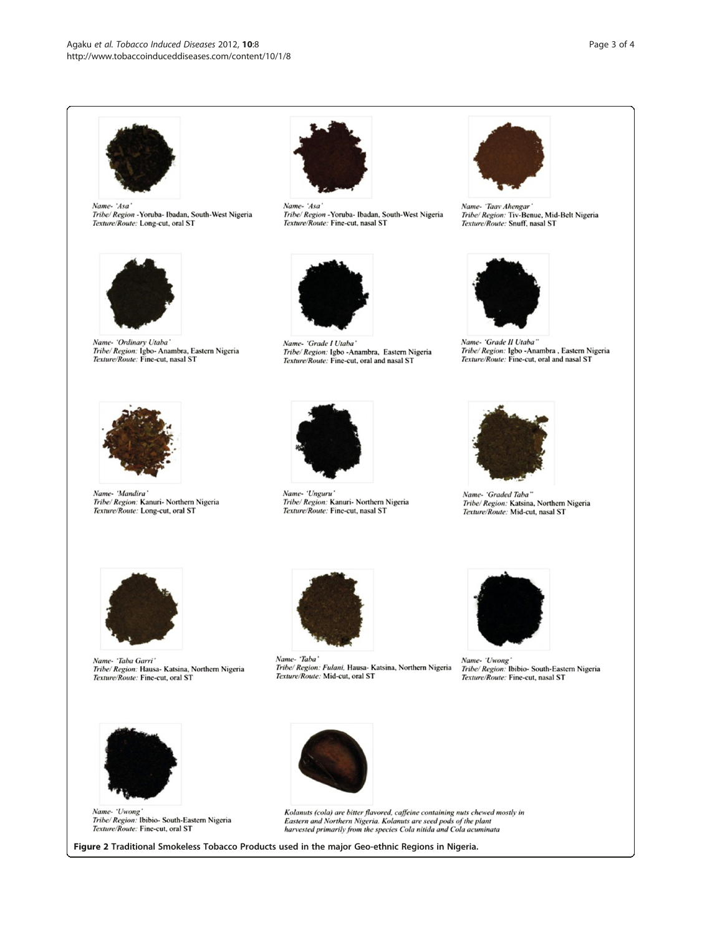<span id="page-2-0"></span>

Name-'Asa Tribe/ Region - Yoruba- Ibadan, South-West Nigeria Texture/Route: Long-cut, oral ST



Name- 'Ordinary Utaba' Tribe/Region: Igbo-Anambra, Eastern Nigeria<br>Texture/Route: Fine-cut, nasal ST



Name-'Asa Tribe/ Region - Yoruba- Ibadan, South-West Nigeria Texture/Route: Fine-cut, nasal ST



Name- 'Grade I Utaba' Tribe/ Region: Igbo - Anambra, Eastern Nigeria Texture/Route: Fine-cut, oral and nasal ST



Name- 'Taav Ahengar Tribe/ Region: Tiv-Benue, Mid-Belt Nigeria Texture/Route: Snuff, nasal ST



Name- 'Grade II Utaba" Tribe/Region: Igbo -Anambra, Eastern Nigeria<br>Texture/Route: Fine-cut, oral and nasal ST



Name- 'Mandira' Tribe/ Region: Kanuri- Northern Nigeria Texture/Route: Long-cut, oral ST



Name- 'Unguru' Tribe/ Region: Kanuri- Northern Nigeria Texture/Route: Fine-cut, nasal ST



Name- 'Graded Taba" Tribe/Region: Katsina, Northern Nigeria<br>Texture/Route: Mid-cut, nasal ST



Name- 'Taba Garri' Tribe/Region: Hausa-Katsina, Northern Nigeria<br>Texture/Route: Fine-cut, oral ST



Name- 'Taba' Tribe/ Region: Fulani, Hausa- Katsina, Northern Nigeria Texture/Route: Mid-cut, oral ST



Name- 'Uwong'<br>Tribe/ Region: Ibibio- South-Eastern Nigeria<br>Texture/Route: Fine-cut, nasal ST



Name- 'Uwong'<br>Tribe/ Region: Ibibio- South-Eastern Nigeria Texture/Route: Fine-cut, oral ST



Kolanuts (cola) are bitter flavored, caffeine containing nuts chewed mostly in Eastern and Northern Nigeria. Kolanuts are seed pods of the plant<br>harvested primarily from the species Cola nitida and Cola acuminata

Figure 2 Traditional Smokeless Tobacco Products used in the major Geo-ethnic Regions in Nigeria.